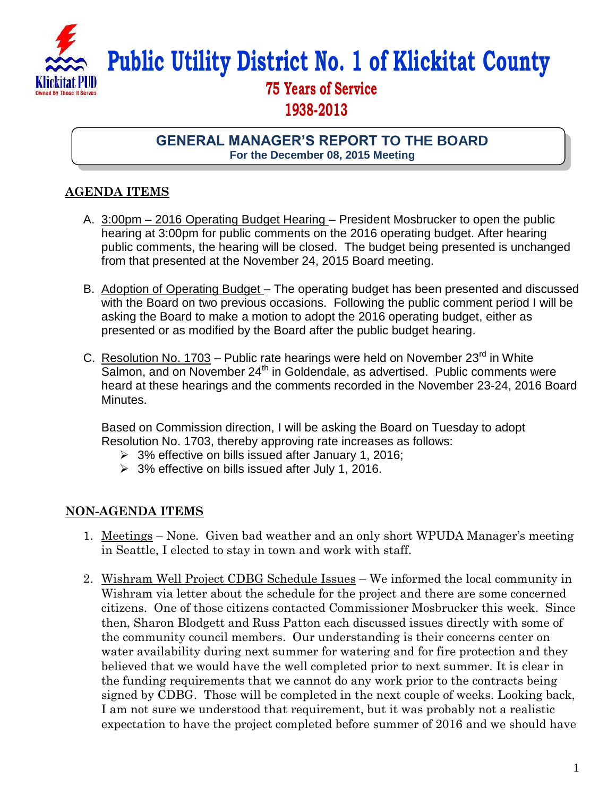

## **Public Utility District No. 1 of Klickitat County**

## **75 Years of Service 1938-2013**

**GENERAL MANAGER'S REPORT TO THE BOARD For the December 08, 2015 Meeting**

## **AGENDA ITEMS**

- A. 3:00pm 2016 Operating Budget Hearing President Mosbrucker to open the public hearing at 3:00pm for public comments on the 2016 operating budget. After hearing public comments, the hearing will be closed. The budget being presented is unchanged from that presented at the November 24, 2015 Board meeting.
- B. Adoption of Operating Budget The operating budget has been presented and discussed with the Board on two previous occasions. Following the public comment period I will be asking the Board to make a motion to adopt the 2016 operating budget, either as presented or as modified by the Board after the public budget hearing.
- C. Resolution No. 1703 Public rate hearings were held on November 23 $^{rd}$  in White  $\overline{\mathsf{Salmon}}$ , and on November 24<sup>th</sup> in Goldendale, as advertised. Public comments were heard at these hearings and the comments recorded in the November 23-24, 2016 Board Minutes.

Based on Commission direction, I will be asking the Board on Tuesday to adopt Resolution No. 1703, thereby approving rate increases as follows:

- 3% effective on bills issued after January 1, 2016;
- $\geq$  3% effective on bills issued after July 1, 2016.

## **NON-AGENDA ITEMS**

- 1. Meetings None. Given bad weather and an only short WPUDA Manager's meeting in Seattle, I elected to stay in town and work with staff.
- 2. Wishram Well Project CDBG Schedule Issues We informed the local community in Wishram via letter about the schedule for the project and there are some concerned citizens. One of those citizens contacted Commissioner Mosbrucker this week. Since then, Sharon Blodgett and Russ Patton each discussed issues directly with some of the community council members. Our understanding is their concerns center on water availability during next summer for watering and for fire protection and they believed that we would have the well completed prior to next summer. It is clear in the funding requirements that we cannot do any work prior to the contracts being signed by CDBG. Those will be completed in the next couple of weeks. Looking back, I am not sure we understood that requirement, but it was probably not a realistic expectation to have the project completed before summer of 2016 and we should have